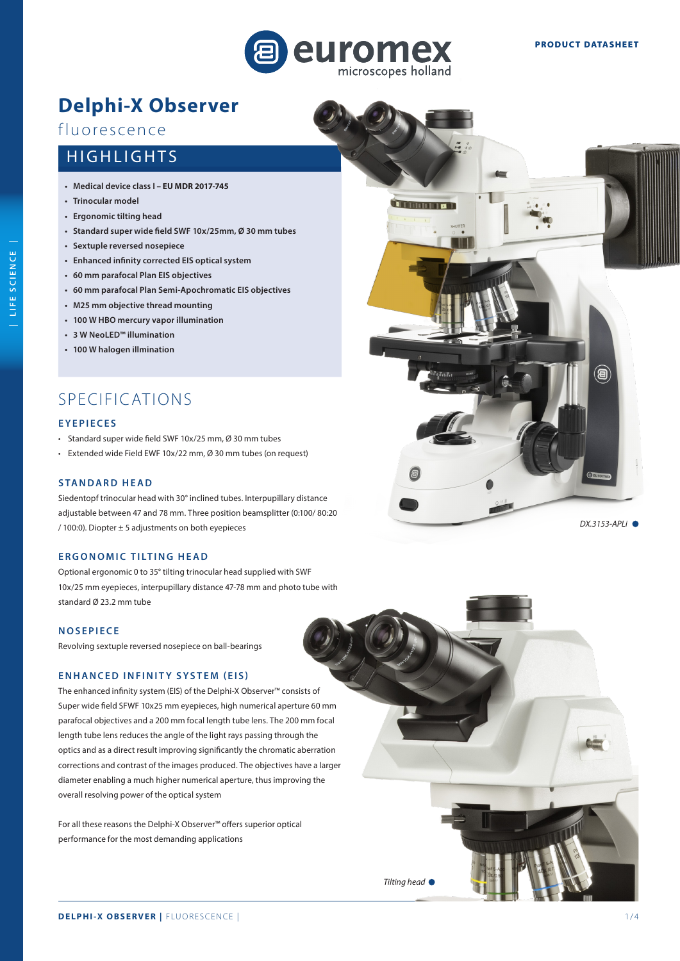

<u> Thomas a</u>

# **Delphi-X Observer**

# fluorescence

# HIGHLIGHTS

- **• Medical device class I EU MDR 2017-745**
- **• Trinocular model**
- **• Ergonomic tilting head**
- **• Standard super wide field SWF 10x/25mm, Ø 30 mm tubes**
- **• Sextuple reversed nosepiece**
- **• Enhanced infinity corrected EIS optical system**
- **• 60 mm parafocal Plan EIS objectives**
- **60 mm parafocal Plan Semi-Apochromatic EIS objectives**
- **• M25 mm objective thread mounting**
- **• 100 W HBO mercury vapor illumination**
- **• 3 W NeoLED™ illumination**
- **• 100 W halogen illmination**

# SPECIFICATIONS

# **EYEPIECES**

- Standard super wide field SWF 10x/25 mm, Ø 30 mm tubes
- Extended wide Field EWF 10x/22 mm, Ø 30 mm tubes (on request)

### **STANDARD HEAD**

Siedentopf trinocular head with 30° inclined tubes. Interpupillary distance adjustable between 47 and 78 mm. Three position beamsplitter (0:100/ 80:20  $/100:0$ ). Diopter  $\pm 5$  adjustments on both eyepieces

## **ERGONOMIC TILTING HEAD**

Optional ergonomic 0 to 35° tilting trinocular head supplied with SWF 10x/25 mm eyepieces, interpupillary distance 47-78 mm and photo tube with standard Ø 23.2 mm tube

# **NOSEPIECE**

Revolving sextuple reversed nosepiece on ball-bearings

#### **ENHANCED INFINITY SYSTEM (EIS)**

The enhanced infinity system (EIS) of the Delphi-X Observer™ consists of Super wide field SFWF 10x25 mm eyepieces, high numerical aperture 60 mm parafocal objectives and a 200 mm focal length tube lens. The 200 mm focal length tube lens reduces the angle of the light rays passing through the optics and as a direct result improving significantly the chromatic aberration corrections and contrast of the images produced. The objectives have a larger diameter enabling a much higher numerical aperture, thus improving the overall resolving power of the optical system

For all these reasons the Delphi-X Observer™ offers superior optical performance for the most demanding applications

*Tilting head* 

*DX.3153-APLi* 

泪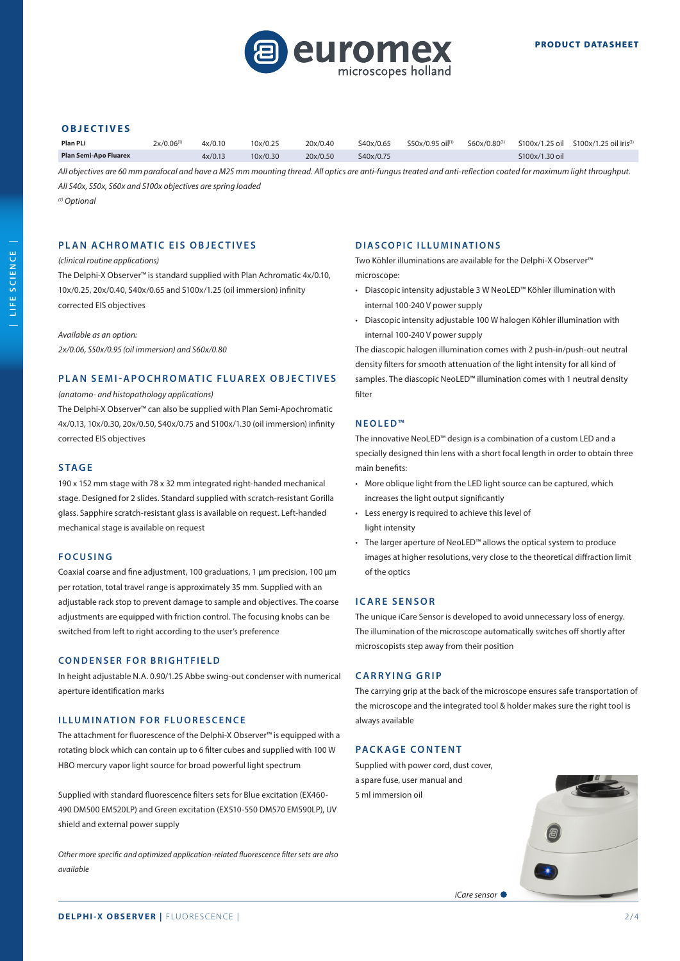

#### **OBJECTIVES**

| <b>Plan PLi</b>              | $2x/0.06^{(1)}$ | 4x/0.10 | 10x/0.25          | 20x/0.40 | S40x/0.65 |  |                | $550x/0.95$ oil <sup>(1)</sup> $560x/0.80^{(1)}$ $5100x/1.25$ oil $5100x/1.25$ oil iris <sup>(1)</sup> |
|------------------------------|-----------------|---------|-------------------|----------|-----------|--|----------------|--------------------------------------------------------------------------------------------------------|
| <b>Plan Semi-Apo Fluarex</b> |                 | 4x/0.13 | $10 \times 70.30$ | 20x/0.50 | S40x/0.75 |  | S100x/1.30 oil |                                                                                                        |

*All objectives are 60 mm parafocal and have a M25 mm mounting thread. All optics are anti-fungus treated and anti-reflection coated for maximum light throughput. All S40x, S50x, S60x and S100x objectives are spring loaded*

*(1) Optional* 

## **PLAN ACHROMATIC EIS OBJECTIVES**

#### *(clinical routine applications)*

The Delphi-X Observer™ is standard supplied with Plan Achromatic 4x/0.10, 10x/0.25, 20x/0.40, S40x/0.65 and S100x/1.25 (oil immersion) infinity corrected EIS objectives

*Available as an option:* 

*2x/0.06, S50x/0.95 (oil immersion) and S60x/0.80*

#### **PLAN SEMI-APOCHROMATIC FLUAREX OBJECTIVES**

## *(anatomo- and histopathology applications)*

The Delphi-X Observer™ can also be supplied with Plan Semi-Apochromatic 4x/0.13, 10x/0.30, 20x/0.50, S40x/0.75 and S100x/1.30 (oil immersion) infinity corrected EIS objectives

#### **STAGE**

190 x 152 mm stage with 78 x 32 mm integrated right-handed mechanical stage. Designed for 2 slides. Standard supplied with scratch-resistant Gorilla glass. Sapphire scratch-resistant glass is available on request. Left-handed mechanical stage is available on request

#### **FOCUSING**

Coaxial coarse and fine adjustment, 100 graduations, 1 µm precision, 100 μm per rotation, total travel range is approximately 35 mm. Supplied with an adjustable rack stop to prevent damage to sample and objectives. The coarse adjustments are equipped with friction control. The focusing knobs can be switched from left to right according to the user's preference

#### **CONDENSER FOR BRIGHTFIELD**

In height adjustable N.A. 0.90/1.25 Abbe swing-out condenser with numerical aperture identification marks

### **ILLUMINATION FOR FLUORESCENCE**

The attachment for fluorescence of the Delphi-X Observer™ is equipped with a rotating block which can contain up to 6 filter cubes and supplied with 100 W HBO mercury vapor light source for broad powerful light spectrum

Supplied with standard fluorescence filters sets for Blue excitation (EX460- 490 DM500 EM520LP) and Green excitation (EX510-550 DM570 EM590LP), UV shield and external power supply

*Other more specific and optimized application-related fluorescence filter sets are also available*

### **DIASCOPIC ILLUMINATIONS**

Two Köhler illuminations are available for the Delphi-X Observer™ microscope:

- Diascopic intensity adjustable 3 W NeoLED™ Köhler illumination with internal 100-240 V power supply
- Diascopic intensity adjustable 100 W halogen Köhler illumination with internal 100-240 V power supply

The diascopic halogen illumination comes with 2 push-in/push-out neutral density filters for smooth attenuation of the light intensity for all kind of samples. The diascopic NeoLED™ illumination comes with 1 neutral density filter

#### **NEOLED™**

The innovative NeoLED™ design is a combination of a custom LED and a specially designed thin lens with a short focal length in order to obtain three main benefits:

- More oblique light from the LED light source can be captured, which increases the light output significantly
- Less energy is required to achieve this level of light intensity
- The larger aperture of NeoLED™ allows the optical system to produce images at higher resolutions, very close to the theoretical diffraction limit of the optics

#### **ICARE SENSOR**

The unique iCare Sensor is developed to avoid unnecessary loss of energy. The illumination of the microscope automatically switches off shortly after microscopists step away from their position

#### **CARRYING GRIP**

The carrying grip at the back of the microscope ensures safe transportation of the microscope and the integrated tool & holder makes sure the right tool is always available

### **PACKAGE CONTENT**

Supplied with power cord, dust cover, a spare fuse, user manual and 5 ml immersion oil

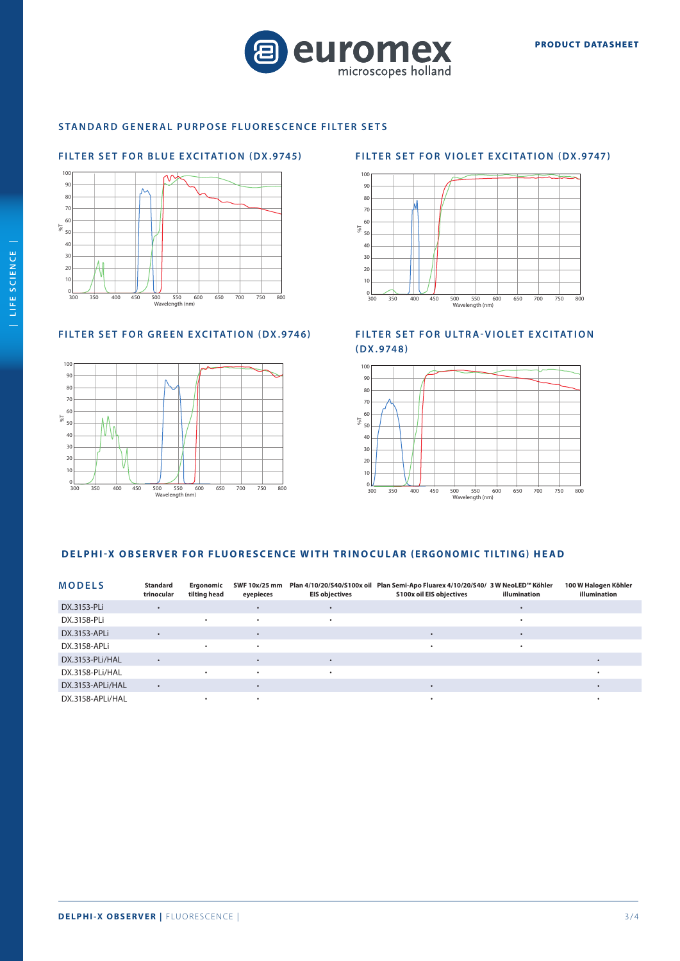

# **STANDARD GENERAL PURPOSE FLUORESCENCE FILTER SETS**

# **FILTER SET FOR BLUE EXCITATION (DX.9745)**



# **FILTER SET FOR GREEN EXCITATION (DX.9746)**



# **FILTER SET FOR VIOLET EXCITATION (DX.9747)**



**FILTER SET FOR ULTRA-VIOLET EXCITATION (DX.9748)**



# **DELPHI-X OBSERVER FOR FLUORESCENCE WITH TRINOCULAR ( ERGONOMIC TILTING) HEAD**

| <b>MODELS</b>    | Standard<br>trinocular | Ergonomic<br>tilting head | SWF 10x/25 mm<br>eyepieces | <b>EIS objectives</b> | Plan 4/10/20/S40/S100x oil Plan Semi-Apo Fluarex 4/10/20/S40/ 3 W NeoLED™ Köhler<br><b>S100x oil EIS objectives</b> | illumination | 100 W Halogen Köhler<br>illumination |
|------------------|------------------------|---------------------------|----------------------------|-----------------------|---------------------------------------------------------------------------------------------------------------------|--------------|--------------------------------------|
| DX.3153-PLi      |                        |                           |                            |                       |                                                                                                                     |              |                                      |
| DX.3158-PLi      |                        |                           | ٠                          |                       |                                                                                                                     |              |                                      |
| DX.3153-APLi     |                        |                           |                            |                       |                                                                                                                     |              |                                      |
| DX.3158-APLi     |                        |                           | ٠                          |                       |                                                                                                                     |              |                                      |
| DX.3153-PLi/HAL  | $\bullet$              |                           |                            |                       |                                                                                                                     |              |                                      |
| DX.3158-PLi/HAL  |                        |                           | ٠                          |                       |                                                                                                                     |              |                                      |
| DX.3153-APLI/HAL | $\bullet$              |                           |                            |                       |                                                                                                                     |              |                                      |
| DX.3158-APLI/HAL |                        |                           |                            |                       |                                                                                                                     |              |                                      |